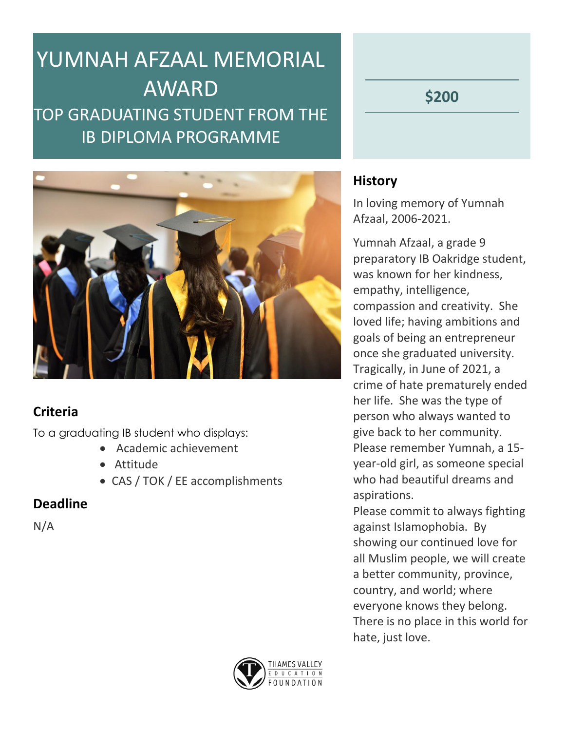# YUMNAH AFZAAL MEMORIAL AWARD TOP GRADUATING STUDENT FROM THE IB DIPLOMA PROGRAMME

**\$200**



## **Criteria**

To a graduating IB student who displays:

- Academic achievement
- Attitude
- CAS / TOK / EE accomplishments

### **Deadline**

N/A

### **History**

In loving memory of Yumnah Afzaal, 2006-2021.

Yumnah Afzaal, a grade 9 preparatory IB Oakridge student, was known for her kindness, empathy, intelligence, compassion and creativity. She loved life; having ambitions and goals of being an entrepreneur once she graduated university. Tragically, in June of 2021, a crime of hate prematurely ended her life. She was the type of person who always wanted to give back to her community. Please remember Yumnah, a 15 year-old girl, as someone special who had beautiful dreams and aspirations.

Please commit to always fighting against Islamophobia. By showing our continued love for all Muslim people, we will create a better community, province, country, and world; where everyone knows they belong. There is no place in this world for hate, just love.